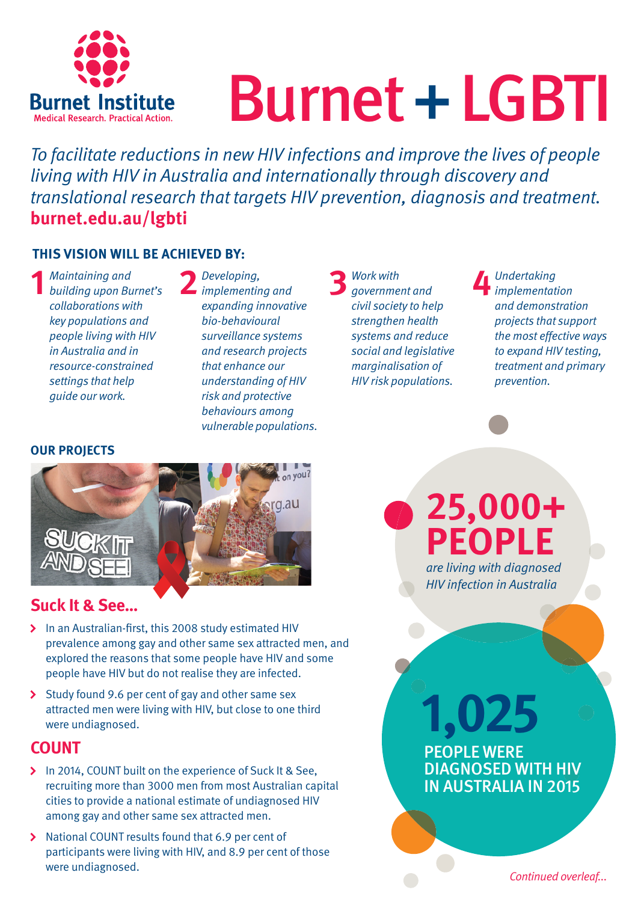

# Burnet + LGBTI

To facilitate reductions in new HIV infections and improve the lives of people living with HIV in Australia and internationally through discovery and translational research that targets HIV prevention, diagnosis and treatment. **burnet.edu.au/lgbti**

#### **THIS VISION WILL BE ACHIEVED BY:**

**1** Maintaining and<br>building upon Burnet's collaborations with key populations and people living with HIV in Australia and in resource-constrained settings that help guide our work.

**2** Developing, implementing and expanding innovative bio-behavioural surveillance systems and research projects that enhance our understanding of HIV risk and protective behaviours among vulnerable populations.

**3** Work with government and civil society to help strengthen health systems and reduce social and legislative marginalisation of HIV risk populations.

**4** Undertaking<br>
implementation and demonstration projects that support the most effective ways to expand HIV testing, treatment and primary prevention.

#### **OUR PROJECTS**



## **Suck It & See…**

- In an Australian-first, this 2008 study estimated HIV prevalence among gay and other same sex attracted men, and explored the reasons that some people have HIV and some people have HIV but do not realise they are infected.
- $\sum$  Study found 9.6 per cent of gay and other same sex attracted men were living with HIV, but close to one third were undiagnosed.

#### **COUNT**

- In 2014, COUNT built on the experience of Suck It & See, recruiting more than 3000 men from most Australian capital cities to provide a national estimate of undiagnosed HIV among gay and other same sex attracted men.
- > National COUNT results found that 6.9 per cent of participants were living with HIV, and 8.9 per cent of those were undiagnosed.

**25,000+ PEOPLE**  are living with diagnosed

HIV infection in Australia

**PEOPLE WERE<br>DIAGNOSED WITH I<br>IN AUSTRALIA IN 20** PEOPLE WERE DIAGNOSED WITH HIV IN AUSTRALIA IN 2015 **1,025** 

Continued overleaf...